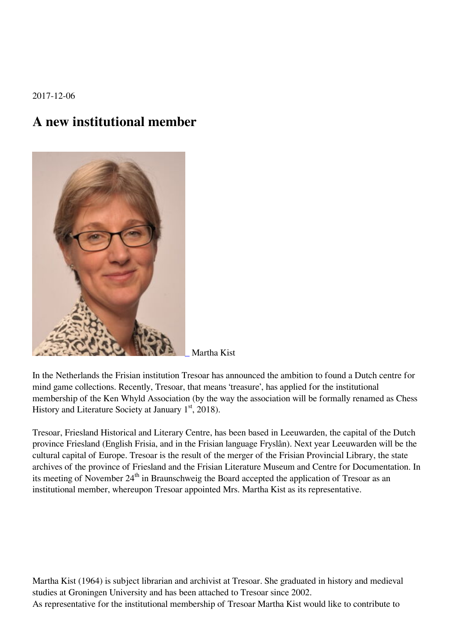2017-12-06

## **A new institutional member**



Martha Kist

In the Netherlands the Frisian institution Tresoar has announced the ambition to found a Dutch centre for mind game collections. Recently, Tresoar, that means 'treasure', has applied for the institutional membership of the Ken Whyld Association (by the way the association will be formally renamed as Chess History and Literature Society at January  $1<sup>st</sup>$ , 2018).

Tresoar, Friesland Historical and Literary Centre, has been based in Leeuwarden, the capital of the Dutch province Friesland (English Frisia, and in the Frisian language Fryslân). Next year Leeuwarden will be the cultural capital of Europe. Tresoar is the result of the merger of the Frisian Provincial Library, the state archives of the province of Friesland and the Frisian Literature Museum and Centre for Documentation. In its meeting of November  $24<sup>th</sup>$  in Braunschweig the Board accepted the application of Tresoar as an institutional member, whereupon Tresoar appointed Mrs. Martha Kist as its representative.

Martha Kist (1964) is subject librarian and archivist at Tresoar. She graduated in history and medieval studies at Groningen University and has been attached to Tresoar since 2002. As representative for the institutional membership of Tresoar Martha Kist would like to contribute to